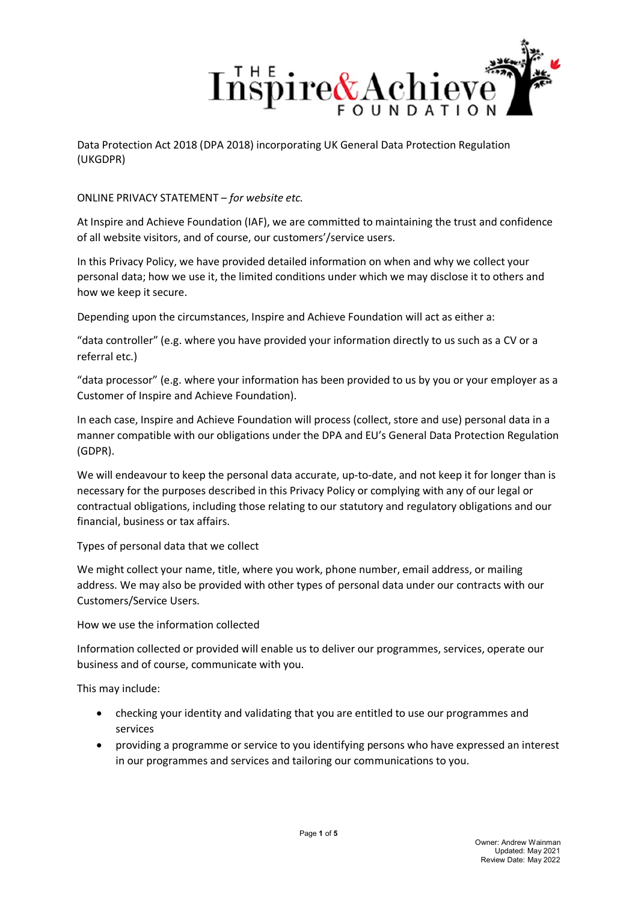

ONLINE PRIVACY STATEMENT – *for website etc.*

At Inspire and Achieve Foundation (IAF), we are committed to maintaining the trust and confidence of all website visitors, and of course, our customers'/service users.

In this Privacy Policy, we have provided detailed information on when and why we collect your personal data; how we use it, the limited conditions under which we may disclose it to others and how we keep it secure.

Depending upon the circumstances, Inspire and Achieve Foundation will act as either a:

"data controller" (e.g. where you have provided your information directly to us such as a CV or a referral etc.)

"data processor" (e.g. where your information has been provided to us by you or your employer as a Customer of Inspire and Achieve Foundation).

In each case, Inspire and Achieve Foundation will process (collect, store and use) personal data in a manner compatible with our obligations under the DPA and EU's General Data Protection Regulation (GDPR).

We will endeavour to keep the personal data accurate, up-to-date, and not keep it for longer than is necessary for the purposes described in this Privacy Policy or complying with any of our legal or contractual obligations, including those relating to our statutory and regulatory obligations and our financial, business or tax affairs.

Types of personal data that we collect

We might collect your name, title, where you work, phone number, email address, or mailing address. We may also be provided with other types of personal data under our contracts with our Customers/Service Users.

How we use the information collected

Information collected or provided will enable us to deliver our programmes, services, operate our business and of course, communicate with you.

This may include:

- checking your identity and validating that you are entitled to use our programmes and services
- providing a programme or service to you identifying persons who have expressed an interest in our programmes and services and tailoring our communications to you.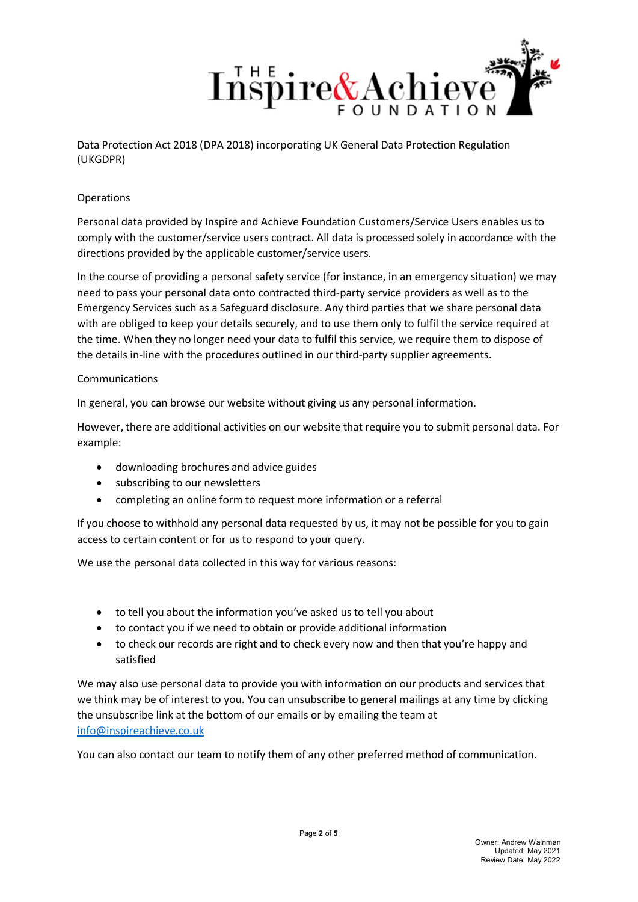

# **Operations**

Personal data provided by Inspire and Achieve Foundation Customers/Service Users enables us to comply with the customer/service users contract. All data is processed solely in accordance with the directions provided by the applicable customer/service users.

In the course of providing a personal safety service (for instance, in an emergency situation) we may need to pass your personal data onto contracted third-party service providers as well as to the Emergency Services such as a Safeguard disclosure. Any third parties that we share personal data with are obliged to keep your details securely, and to use them only to fulfil the service required at the time. When they no longer need your data to fulfil this service, we require them to dispose of the details in-line with the procedures outlined in our third-party supplier agreements.

### Communications

In general, you can browse our website without giving us any personal information.

However, there are additional activities on our website that require you to submit personal data. For example:

- downloading brochures and advice guides
- subscribing to our newsletters
- completing an online form to request more information or a referral

If you choose to withhold any personal data requested by us, it may not be possible for you to gain access to certain content or for us to respond to your query.

We use the personal data collected in this way for various reasons:

- to tell you about the information you've asked us to tell you about
- to contact you if we need to obtain or provide additional information
- to check our records are right and to check every now and then that you're happy and satisfied

We may also use personal data to provide you with information on our products and services that we think may be of interest to you. You can unsubscribe to general mailings at any time by clicking the unsubscribe link at the bottom of our emails or by emailing the team at [info@inspireachieve.co.uk](mailto:info@inspireachieve.co.uk)

You can also contact our team to notify them of any other preferred method of communication.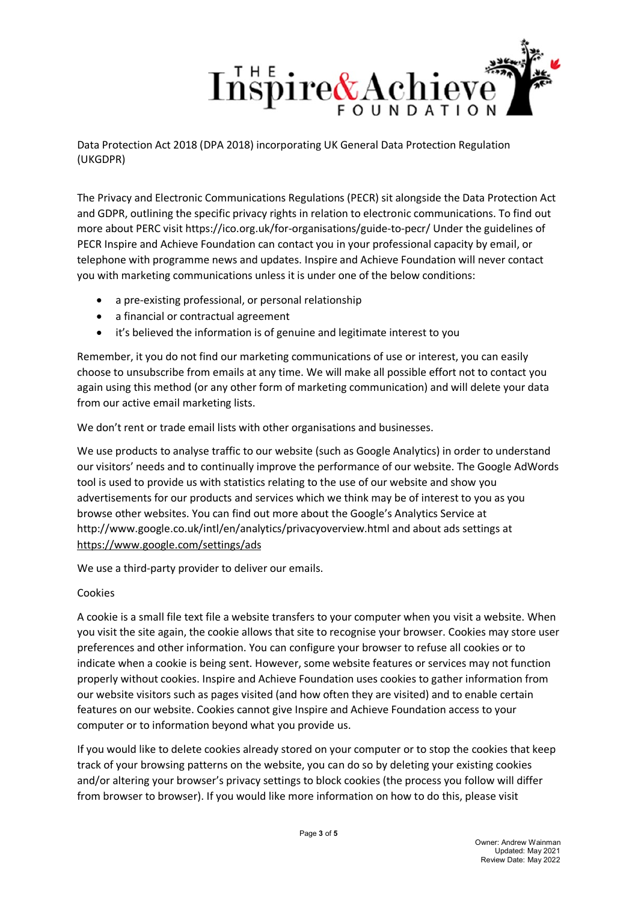

The Privacy and Electronic Communications Regulations (PECR) sit alongside the Data Protection Act and GDPR, outlining the specific privacy rights in relation to electronic communications. To find out more about PERC visit https://ico.org.uk/for-organisations/guide-to-pecr/ Under the guidelines of PECR Inspire and Achieve Foundation can contact you in your professional capacity by email, or telephone with programme news and updates. Inspire and Achieve Foundation will never contact you with marketing communications unless it is under one of the below conditions:

- a pre-existing professional, or personal relationship
- a financial or contractual agreement
- it's believed the information is of genuine and legitimate interest to you

Remember, it you do not find our marketing communications of use or interest, you can easily choose to unsubscribe from emails at any time. We will make all possible effort not to contact you again using this method (or any other form of marketing communication) and will delete your data from our active email marketing lists.

We don't rent or trade email lists with other organisations and businesses.

We use products to analyse traffic to our website (such as Google Analytics) in order to understand our visitors' needs and to continually improve the performance of our website. The Google AdWords tool is used to provide us with statistics relating to the use of our website and show you advertisements for our products and services which we think may be of interest to you as you browse other websites. You can find out more about the Google's Analytics Service at http://www.google.co.uk/intl/en/analytics/privacyoverview.html and about ads settings at <https://www.google.com/settings/ads>

We use a third-party provider to deliver our emails.

#### Cookies

A cookie is a small file text file a website transfers to your computer when you visit a website. When you visit the site again, the cookie allows that site to recognise your browser. Cookies may store user preferences and other information. You can configure your browser to refuse all cookies or to indicate when a cookie is being sent. However, some website features or services may not function properly without cookies. Inspire and Achieve Foundation uses cookies to gather information from our website visitors such as pages visited (and how often they are visited) and to enable certain features on our website. Cookies cannot give Inspire and Achieve Foundation access to your computer or to information beyond what you provide us.

If you would like to delete cookies already stored on your computer or to stop the cookies that keep track of your browsing patterns on the website, you can do so by deleting your existing cookies and/or altering your browser's privacy settings to block cookies (the process you follow will differ from browser to browser). If you would like more information on how to do this, please visit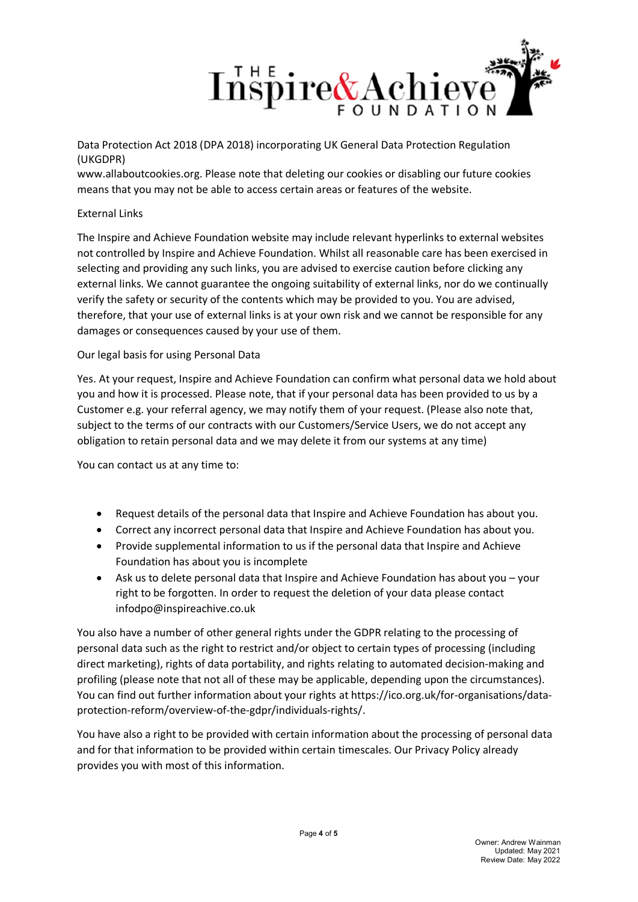

www.allaboutcookies.org. Please note that deleting our cookies or disabling our future cookies means that you may not be able to access certain areas or features of the website.

# External Links

The Inspire and Achieve Foundation website may include relevant hyperlinks to external websites not controlled by Inspire and Achieve Foundation. Whilst all reasonable care has been exercised in selecting and providing any such links, you are advised to exercise caution before clicking any external links. We cannot guarantee the ongoing suitability of external links, nor do we continually verify the safety or security of the contents which may be provided to you. You are advised, therefore, that your use of external links is at your own risk and we cannot be responsible for any damages or consequences caused by your use of them.

### Our legal basis for using Personal Data

Yes. At your request, Inspire and Achieve Foundation can confirm what personal data we hold about you and how it is processed. Please note, that if your personal data has been provided to us by a Customer e.g. your referral agency, we may notify them of your request. (Please also note that, subject to the terms of our contracts with our Customers/Service Users, we do not accept any obligation to retain personal data and we may delete it from our systems at any time)

You can contact us at any time to:

- Request details of the personal data that Inspire and Achieve Foundation has about you.
- Correct any incorrect personal data that Inspire and Achieve Foundation has about you.
- Provide supplemental information to us if the personal data that Inspire and Achieve Foundation has about you is incomplete
- Ask us to delete personal data that Inspire and Achieve Foundation has about you your right to be forgotten. In order to request the deletion of your data please contact infodpo@inspireachive.co.uk

You also have a number of other general rights under the GDPR relating to the processing of personal data such as the right to restrict and/or object to certain types of processing (including direct marketing), rights of data portability, and rights relating to automated decision-making and profiling (please note that not all of these may be applicable, depending upon the circumstances). You can find out further information about your rights at https://ico.org.uk/for-organisations/dataprotection-reform/overview-of-the-gdpr/individuals-rights/.

You have also a right to be provided with certain information about the processing of personal data and for that information to be provided within certain timescales. Our Privacy Policy already provides you with most of this information.